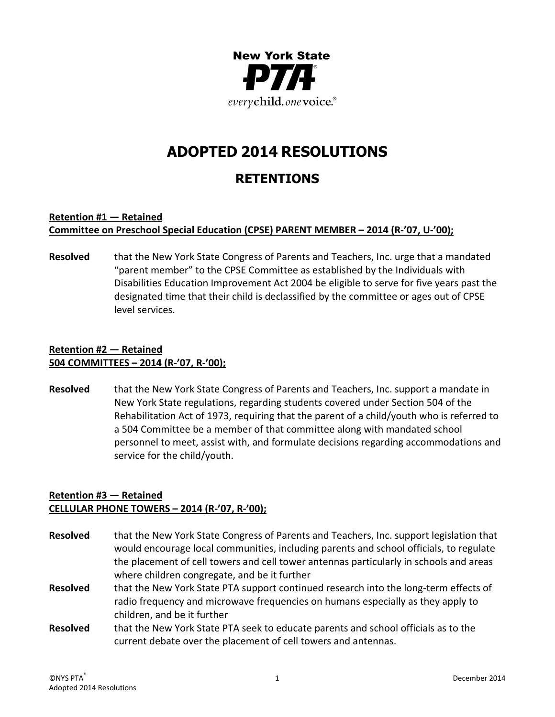

# **ADOPTED 2014 RESOLUTIONS**

# **RETENTIONS**

#### **Retention #1 — Retained Committee on Preschool Special Education (CPSE) PARENT MEMBER – 2014 (R‐'07, U‐'00);**

**Resolved** that the New York State Congress of Parents and Teachers, Inc. urge that a mandated "parent member" to the CPSE Committee as established by the Individuals with Disabilities Education Improvement Act 2004 be eligible to serve for five years past the designated time that their child is declassified by the committee or ages out of CPSE level services.

## **Retention #2 — Retained 504 COMMITTEES – 2014 (R‐'07, R‐'00);**

**Resolved** that the New York State Congress of Parents and Teachers, Inc. support a mandate in New York State regulations, regarding students covered under Section 504 of the Rehabilitation Act of 1973, requiring that the parent of a child/youth who is referred to a 504 Committee be a member of that committee along with mandated school personnel to meet, assist with, and formulate decisions regarding accommodations and service for the child/youth.

## **Retention #3 — Retained CELLULAR PHONE TOWERS – 2014 (R‐'07, R‐'00);**

**Resolved** that the New York State Congress of Parents and Teachers, Inc. support legislation that would encourage local communities, including parents and school officials, to regulate the placement of cell towers and cell tower antennas particularly in schools and areas where children congregate, and be it further **Resolved** that the New York State PTA support continued research into the long-term effects of radio frequency and microwave frequencies on humans especially as they apply to children, and be it further **Resolved** that the New York State PTA seek to educate parents and school officials as to the current debate over the placement of cell towers and antennas.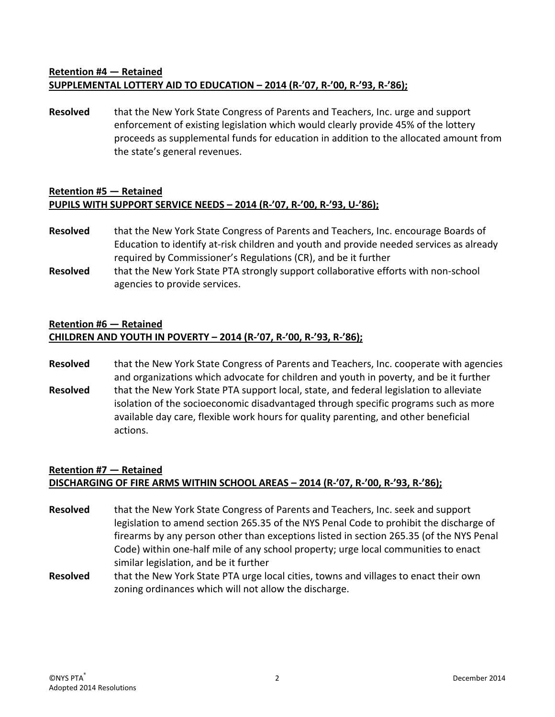## **Retention #4 — Retained SUPPLEMENTAL LOTTERY AID TO EDUCATION – 2014 (R‐'07, R‐'00, R‐'93, R‐'86);**

**Resolved** that the New York State Congress of Parents and Teachers, Inc. urge and support enforcement of existing legislation which would clearly provide 45% of the lottery proceeds as supplemental funds for education in addition to the allocated amount from the state's general revenues.

#### **Retention #5 — Retained PUPILS WITH SUPPORT SERVICE NEEDS – 2014 (R‐'07, R‐'00, R‐'93, U‐'86);**

- **Resolved** that the New York State Congress of Parents and Teachers, Inc. encourage Boards of Education to identify at-risk children and youth and provide needed services as already required by Commissioner's Regulations (CR), and be it further
- Resolved that the New York State PTA strongly support collaborative efforts with non-school agencies to provide services.

## **Retention #6 — Retained**

## **CHILDREN AND YOUTH IN POVERTY – 2014 (R‐'07, R‐'00, R‐'93, R‐'86);**

**Resolved** that the New York State Congress of Parents and Teachers, Inc. cooperate with agencies and organizations which advocate for children and youth in poverty, and be it further Resolved that the New York State PTA support local, state, and federal legislation to alleviate isolation of the socioeconomic disadvantaged through specific programs such as more available day care, flexible work hours for quality parenting, and other beneficial actions.

# **Retention #7 — Retained** DISCHARGING OF FIRE ARMS WITHIN SCHOOL AREAS - 2014 (R-'07, R-'00, R-'93, R-'86);

- **Resolved** that the New York State Congress of Parents and Teachers, Inc. seek and support legislation to amend section 265.35 of the NYS Penal Code to prohibit the discharge of firearms by any person other than exceptions listed in section 265.35 (of the NYS Penal Code) within one‐half mile of any school property; urge local communities to enact similar legislation, and be it further
- **Resolved** that the New York State PTA urge local cities, towns and villages to enact their own zoning ordinances which will not allow the discharge.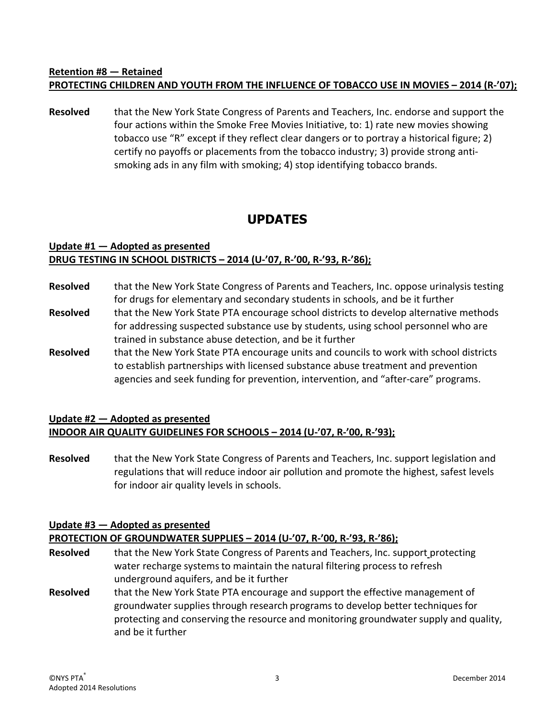# **Retention #8 — Retained PROTECTING CHILDREN AND YOUTH FROM THE INFLUENCE OF TOBACCO USE IN MOVIES – 2014 (R‐'07);**

**Resolved** that the New York State Congress of Parents and Teachers, Inc. endorse and support the four actions within the Smoke Free Movies Initiative, to: 1) rate new movies showing tobacco use "R" except if they reflect clear dangers or to portray a historical figure; 2) certify no payoffs or placements from the tobacco industry; 3) provide strong anti‐ smoking ads in any film with smoking; 4) stop identifying tobacco brands.

# **UPDATES**

#### **Update #1 — Adopted as presented DRUG TESTING IN SCHOOL DISTRICTS – 2014 (U‐'07, R‐'00, R‐'93, R‐'86);**

- **Resolved** that the New York State Congress of Parents and Teachers, Inc. oppose urinalysis testing for drugs for elementary and secondary students in schools, and be it further
- **Resolved** that the New York State PTA encourage school districts to develop alternative methods for addressing suspected substance use by students, using school personnel who are trained in substance abuse detection, and be it further
- **Resolved** that the New York State PTA encourage units and councils to work with school districts to establish partnerships with licensed substance abuse treatment and prevention agencies and seek funding for prevention, intervention, and "after-care" programs.

## **Update #2 — Adopted as presented INDOOR AIR QUALITY GUIDELINES FOR SCHOOLS – 2014 (U‐'07, R‐'00, R‐'93);**

**Resolved** that the New York State Congress of Parents and Teachers, Inc. support legislation and regulations that will reduce indoor air pollution and promote the highest, safest levels for indoor air quality levels in schools.

# **Update #3 — Adopted as presented**

#### **PROTECTION OF GROUNDWATER SUPPLIES – 2014 (U‐'07, R‐'00, R‐'93, R‐'86);**

- Resolved that the New York State Congress of Parents and Teachers, Inc. support protecting water recharge systems to maintain the natural filtering process to refresh underground aquifers, and be it further
- **Resolved** that the New York State PTA encourage and support the effective management of groundwater supplies through research programs to develop better techniquesfor protecting and conserving the resource and monitoring groundwater supply and quality, and be it further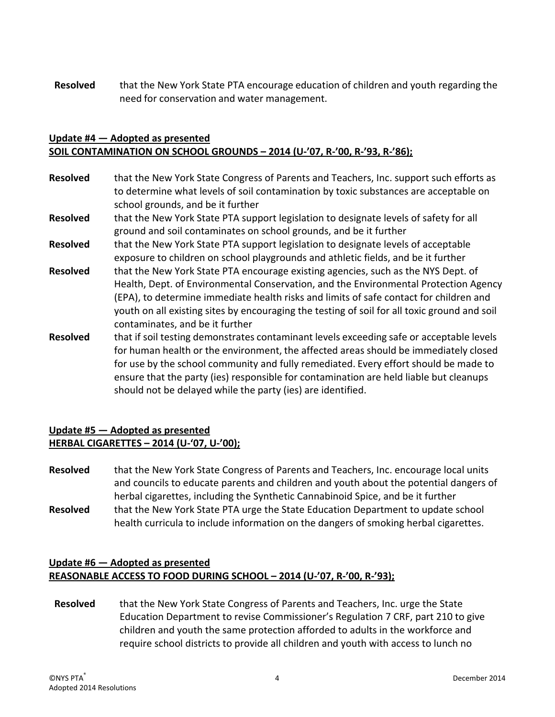**Resolved** that the New York State PTA encourage education of children and youth regarding the need for conservation and water management.

#### **Update #4 — Adopted as presented SOIL CONTAMINATION ON SCHOOL GROUNDS – 2014 (U‐'07, R‐'00, R‐'93, R‐'86);**

- **Resolved** that the New York State Congress of Parents and Teachers, Inc. support such efforts as to determine what levels of soil contamination by toxic substances are acceptable on school grounds, and be it further
- **Resolved** that the New York State PTA support legislation to designate levels of safety for all ground and soil contaminates on school grounds, and be it further
- **Resolved** that the New York State PTA support legislation to designate levels of acceptable exposure to children on school playgrounds and athletic fields, and be it further
- **Resolved** that the New York State PTA encourage existing agencies, such as the NYS Dept. of Health, Dept. of Environmental Conservation, and the Environmental Protection Agency (EPA), to determine immediate health risks and limits of safe contact for children and youth on all existing sites by encouraging the testing of soil for all toxic ground and soil contaminates, and be it further
- **Resolved** that if soil testing demonstrates contaminant levels exceeding safe or acceptable levels for human health or the environment, the affected areas should be immediately closed for use by the school community and fully remediated. Every effort should be made to ensure that the party (ies) responsible for contamination are held liable but cleanups should not be delayed while the party (ies) are identified.

## **Update #5 — Adopted as presented HERBAL CIGARETTES – 2014 (U‐'07, U‐'00);**

**Resolved** that the New York State Congress of Parents and Teachers, Inc. encourage local units and councils to educate parents and children and youth about the potential dangers of herbal cigarettes, including the Synthetic Cannabinoid Spice, and be it further **Resolved** that the New York State PTA urge the State Education Department to update school health curricula to include information on the dangers of smoking herbal cigarettes.

#### **Update #6 — Adopted as presented REASONABLE ACCESS TO FOOD DURING SCHOOL – 2014 (U‐'07, R‐'00, R‐'93);**

**Resolved** that the New York State Congress of Parents and Teachers, Inc. urge the State Education Department to revise Commissioner's Regulation 7 CRF, part 210 to give children and youth the same protection afforded to adults in the workforce and require school districts to provide all children and youth with access to lunch no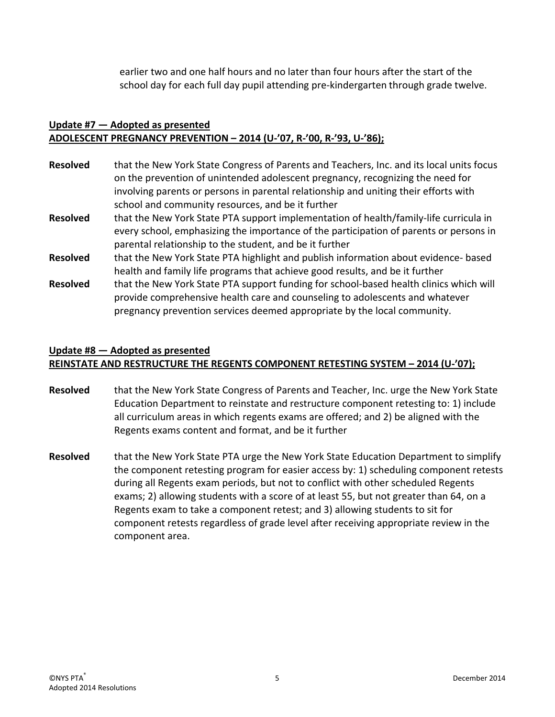earlier two and one half hours and no later than four hours after the start of the school day for each full day pupil attending pre‐kindergarten through grade twelve.

### **Update #7 — Adopted as presented ADOLESCENT PREGNANCY PREVENTION – 2014 (U‐'07, R‐'00, R‐'93, U‐'86);**

| <b>Resolved</b> | that the New York State Congress of Parents and Teachers, Inc. and its local units focus<br>on the prevention of unintended adolescent pregnancy, recognizing the need for<br>involving parents or persons in parental relationship and uniting their efforts with<br>school and community resources, and be it further |
|-----------------|-------------------------------------------------------------------------------------------------------------------------------------------------------------------------------------------------------------------------------------------------------------------------------------------------------------------------|
| <b>Resolved</b> | that the New York State PTA support implementation of health/family-life curricula in<br>every school, emphasizing the importance of the participation of parents or persons in<br>parental relationship to the student, and be it further                                                                              |
| <b>Resolved</b> | that the New York State PTA highlight and publish information about evidence- based<br>health and family life programs that achieve good results, and be it further                                                                                                                                                     |
| <b>Resolved</b> | that the New York State PTA support funding for school-based health clinics which will<br>provide comprehensive health care and counseling to adolescents and whatever<br>pregnancy prevention services deemed appropriate by the local community.                                                                      |

# **Update #8 — Adopted as presented REINSTATE AND RESTRUCTURE THE REGENTS COMPONENT RETESTING SYSTEM – 2014 (U‐'07);**

- **Resolved** that the New York State Congress of Parents and Teacher, Inc. urge the New York State Education Department to reinstate and restructure component retesting to: 1) include all curriculum areas in which regents exams are offered; and 2) be aligned with the Regents exams content and format, and be it further
- **Resolved** that the New York State PTA urge the New York State Education Department to simplify the component retesting program for easier access by: 1) scheduling component retests during all Regents exam periods, but not to conflict with other scheduled Regents exams; 2) allowing students with a score of at least 55, but not greater than 64, on a Regents exam to take a component retest; and 3) allowing students to sit for component retests regardless of grade level after receiving appropriate review in the component area.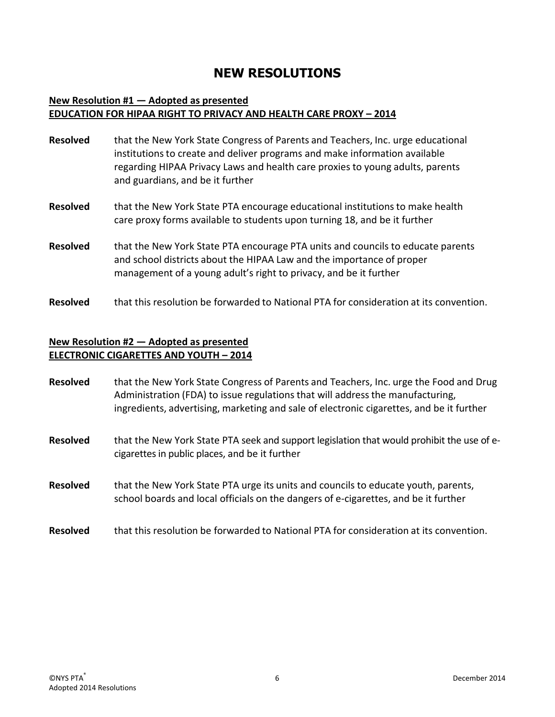# **NEW RESOLUTIONS**

#### **New Resolution #1 — Adopted as presented EDUCATION FOR HIPAA RIGHT TO PRIVACY AND HEALTH CARE PROXY – 2014**

| <b>Resolved</b> | that the New York State Congress of Parents and Teachers, Inc. urge educational<br>institutions to create and deliver programs and make information available<br>regarding HIPAA Privacy Laws and health care proxies to young adults, parents<br>and guardians, and be it further |
|-----------------|------------------------------------------------------------------------------------------------------------------------------------------------------------------------------------------------------------------------------------------------------------------------------------|
| <b>Resolved</b> | that the New York State PTA encourage educational institutions to make health<br>care proxy forms available to students upon turning 18, and be it further                                                                                                                         |
| <b>Resolved</b> | that the New York State PTA encourage PTA units and councils to educate parents<br>and school districts about the HIPAA Law and the importance of proper<br>management of a young adult's right to privacy, and be it further                                                      |
| <b>Resolved</b> | that this resolution be forwarded to National PTA for consideration at its convention.                                                                                                                                                                                             |

#### **New Resolution #2 — Adopted as presented ELECTRONIC CIGARETTES AND YOUTH – 2014**

| <b>Resolved</b> | that the New York State Congress of Parents and Teachers, Inc. urge the Food and Drug<br>Administration (FDA) to issue regulations that will address the manufacturing,<br>ingredients, advertising, marketing and sale of electronic cigarettes, and be it further |
|-----------------|---------------------------------------------------------------------------------------------------------------------------------------------------------------------------------------------------------------------------------------------------------------------|
| <b>Resolved</b> | that the New York State PTA seek and support legislation that would prohibit the use of e-<br>cigarettes in public places, and be it further                                                                                                                        |
| <b>Resolved</b> | that the New York State PTA urge its units and councils to educate youth, parents,<br>school boards and local officials on the dangers of e-cigarettes, and be it further                                                                                           |
| <b>Resolved</b> | that this resolution be forwarded to National PTA for consideration at its convention.                                                                                                                                                                              |